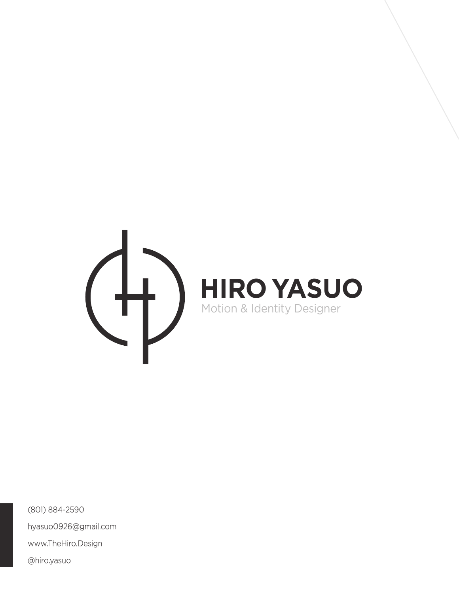

(801) 884-2590 hyasuo0926@gmail.com www.TheHiro.Design @hiro.yasuo